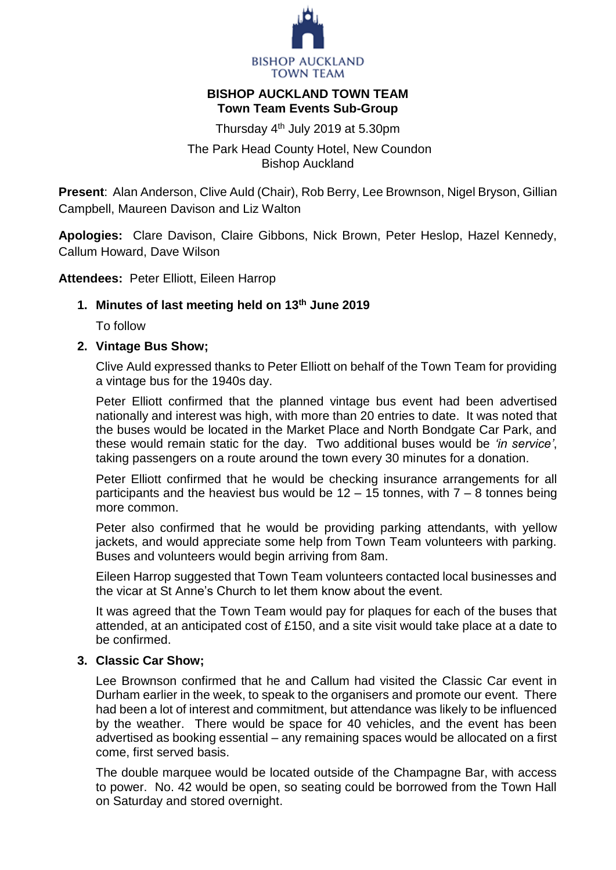

## **BISHOP AUCKLAND TOWN TEAM Town Team Events Sub-Group**

Thursday 4<sup>th</sup> July 2019 at 5.30pm

The Park Head County Hotel, New Coundon Bishop Auckland

**Present**: Alan Anderson, Clive Auld (Chair), Rob Berry, Lee Brownson, Nigel Bryson, Gillian Campbell, Maureen Davison and Liz Walton

**Apologies:** Clare Davison, Claire Gibbons, Nick Brown, Peter Heslop, Hazel Kennedy, Callum Howard, Dave Wilson

**Attendees:** Peter Elliott, Eileen Harrop

# **1. Minutes of last meeting held on 13th June 2019**

To follow

# **2. Vintage Bus Show;**

Clive Auld expressed thanks to Peter Elliott on behalf of the Town Team for providing a vintage bus for the 1940s day.

Peter Elliott confirmed that the planned vintage bus event had been advertised nationally and interest was high, with more than 20 entries to date. It was noted that the buses would be located in the Market Place and North Bondgate Car Park, and these would remain static for the day. Two additional buses would be *'in service'*, taking passengers on a route around the town every 30 minutes for a donation.

Peter Elliott confirmed that he would be checking insurance arrangements for all participants and the heaviest bus would be  $12 - 15$  tonnes, with  $7 - 8$  tonnes being more common.

Peter also confirmed that he would be providing parking attendants, with yellow jackets, and would appreciate some help from Town Team volunteers with parking. Buses and volunteers would begin arriving from 8am.

Eileen Harrop suggested that Town Team volunteers contacted local businesses and the vicar at St Anne's Church to let them know about the event.

It was agreed that the Town Team would pay for plaques for each of the buses that attended, at an anticipated cost of £150, and a site visit would take place at a date to be confirmed.

# **3. Classic Car Show;**

Lee Brownson confirmed that he and Callum had visited the Classic Car event in Durham earlier in the week, to speak to the organisers and promote our event. There had been a lot of interest and commitment, but attendance was likely to be influenced by the weather. There would be space for 40 vehicles, and the event has been advertised as booking essential – any remaining spaces would be allocated on a first come, first served basis.

The double marquee would be located outside of the Champagne Bar, with access to power. No. 42 would be open, so seating could be borrowed from the Town Hall on Saturday and stored overnight.